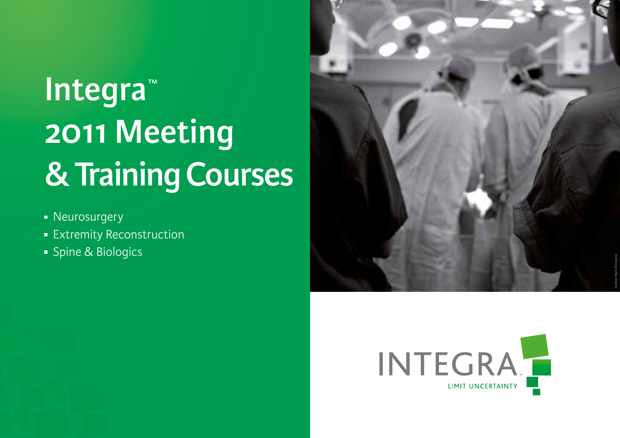# **Integra** ™ **2011 Meeting & Training Courses**

- Neurosurgery
- **Extremity Reconstruction**
- **Spine & Biologics**



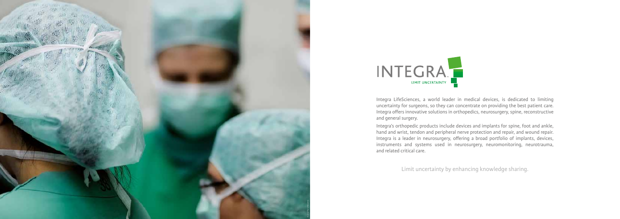Integra LifeSciences, a world leader in medical devices, is dedicated to limiting uncertainty for surgeons, so they can concentrate on providing the best patient care. Integra offers innovative solutions in orthopedics, neurosurgery, spine, reconstructive and general surgery.

Integra's orthopedic products include devices and implants for spine, foot and ankle, hand and wrist, tendon and peripheral nerve protection and repair, and wound repair. Integra is a leader in neurosurgery, offering a broad portfolio of implants, devices, instruments and systems used in neurosurgery, neuromonitoring, neurotrauma, and related critical care.





Limit uncertainty by enhancing knowledge sharing.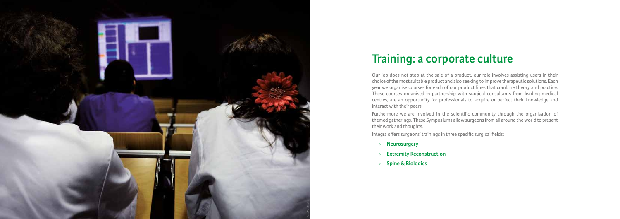## **Training: a corporate culture**

Our job does not stop at the sale of a product, our role involves assisting users in their choice of the most suitable product and also seeking to improve therapeutic solutions. Each year we organise courses for each of our product lines that combine theory and practice. These courses organised in partnership with surgical consultants from leading medical centres, are an opportunity for professionals to acquire or perfect their knowledge and interact with their peers.

Furthermore we are involved in the scientific community through the organisation of themed gatherings. These Symposiums allow surgeons from all around the world to present their work and thoughts.

Integra offers surgeons' trainings in three specific surgical fields:

- › **Neurosurgery**
- **Extremity Reconstruction**
- › **Spine & Biologics**

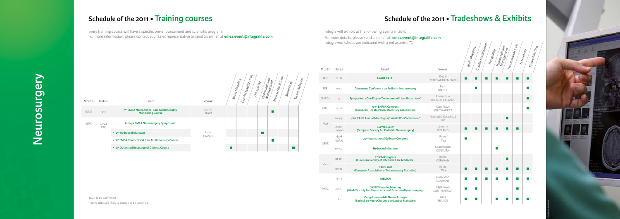|  | Month       | Dates                   | Event                                                                 | Venue                 | 40 | Crar, | エニ |  |
|--|-------------|-------------------------|-----------------------------------------------------------------------|-----------------------|----|-------|----|--|
|  | <b>JUNE</b> | $10 - 11$               | 7th EMEA Neurocritical Care Multimodality<br><b>Monitoring Course</b> | Seville<br>SPAIN      |    |       |    |  |
|  | SEPT.       | $22 - 24$<br><b>TBC</b> | <b>Integra EMEA Neurosurgery Symposium:</b>                           |                       |    |       |    |  |
|  |             |                         | • 2 <sup>nd</sup> Hydrocephalus Days                                  | Lyon<br><b>FRANCE</b> |    |       |    |  |
|  |             |                         | • 8th EMEA Neurocritical Care Multimodality Course                    |                       |    |       |    |  |
|  |             |                         |                                                                       |                       |    |       |    |  |

**• 4th Optimised Resection of Gliomas Course**

**Brain Mapping Cranial Stabilization**

 $\mathbf{u}$ 

**Duraplatsy Hydrocephalus Management**

**Stereotaxy**

**Neurocritical Care**

**Tissue Ablation** 

| Month        | Dates             | Event                                                                                        | Venue                              |   | Ğ |   | ≷ |   |  |
|--------------|-------------------|----------------------------------------------------------------------------------------------|------------------------------------|---|---|---|---|---|--|
| JAN.         | $24 - 27$         | <b>ARAB HEALTH</b>                                                                           | Dubaï<br>UNITED ARAB EMIRATES      | ٠ |   |   |   |   |  |
| FEB.         | $11 - 12$         | <b>Consensus Conference on Pediatric Neurosurgery</b>                                        | Paris<br><b>FRANCE</b>             |   |   |   |   |   |  |
| <b>MARCH</b> | 25                | Symposium «One Day on Techniques of Liver Resection»*                                        | Amsterdam<br>THE NETHERLANDS       |   |   |   |   |   |  |
| APRIL        | $12 - 16$         | O9th EHPBA Congress<br>(European Hepato Pancreato Biliary Association)                       | Cape Town<br>SOUTH AFRICA          |   |   |   |   |   |  |
| MAY          | $O2 - O5$         | Joint EANS Annual Meeting - 4th World ICH Conference *                                       | Newcastle Gateshead<br>UK          |   |   |   |   |   |  |
|              | 30/05<br>$-04/06$ | <b>ESPN Course*</b><br>(European Society for Pediatric Neurosurgery)                         | <b>Limerick</b><br><b>IRFI AND</b> |   |   |   |   |   |  |
| SFPT.        | 28/08<br>$-01/09$ | 29th International Epilepsy Congress                                                         | Rome<br><b>ITALY</b>               |   |   |   |   |   |  |
|              | $04 - 07$         | Hydrocephalus 2011                                                                           | Copenhagen<br><b>DENMARK</b>       |   |   |   |   |   |  |
| OCT.         | $O1 - O5$         | <b>ESICM Congress</b><br>(European Society of Intensive Care Medecine)                       | <b>Berlin</b><br><b>GFRMANY</b>    |   |   |   |   |   |  |
|              | $09 - 14$         | <b>EANS 2011</b><br>(European Association of Neurosurgery Societies)                         | Rome<br><b>ITAIY</b>               | ٠ |   | ш |   | п |  |
|              | $16 - 19$         | <b>MEDICA</b>                                                                                | Düsseldorf<br><b>GERMANY</b>       |   |   |   |   |   |  |
| NOV.         | $20 - 23$         | <b>WSSFN Interim Meeting</b><br>(World Society for Stereotactic and Functional Neurosurgery) | Cape Town<br>SOUTH AFRICA          |   |   |   |   | п |  |
|              | TBC.              | Congrès annuel de Neurochirurgie<br>(Société de NeuroChirurgie de Langue Française)          | Paris<br><b>FRANCE</b>             |   |   |   |   | г |  |



Integra will exhibit at the following events in 2011.

For more details, please send an email at: **emea.event@integralife.com** Integra workshops are indicated with a red asterisk (\*).

### **Schedule of the 2011 • Training courses Schedule of the 2011 • Tradeshows & Exhibits**

Every training course will have a specific pre-anouncement and scientific program. For more information, please contact your sales representative or send an e-mail at **emea.event@integralife.com**

TBC : To Be Confirmed \* Some dates are likely to change or be cancelled.

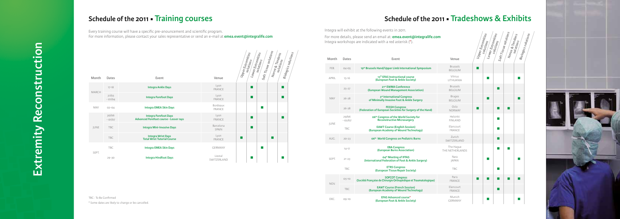|  | Month        | Dates             | <b>Event</b>                                                                               | Venue                              | 5  | 辛 | ľ |
|--|--------------|-------------------|--------------------------------------------------------------------------------------------|------------------------------------|----|---|---|
|  | FFB.         | $04 - 05$         | 19th Brussels Hand/Upper Limb International Symposium                                      | <b>Brussels</b><br><b>BFI GIUM</b> |    |   |   |
|  | <b>APRIL</b> | $15 - 16$         | 13th EFAS Instructional course<br>(European Foot & Ankle Society)                          | Vilnius<br><b>I ITHUANIA</b>       |    |   |   |
|  |              | $25 - 27$         | 21st EWMA Conference<br>(European Wound Management Association)                            | <b>Brussels</b><br><b>BELGIUM</b>  |    |   |   |
|  | MAY          | $26 - 28$         | 3rd International Congress<br>of Minimally Invasive Foot & Ankle Surgery                   | <b>Bruges</b><br><b>BELGIUM</b>    |    |   |   |
|  |              | $26 - 28$         | <b>FESSH Congress</b><br>(Federation of European Societies for Surgery of the Hand)        | Oslo<br><b>NORWAY</b>              | H  |   |   |
|  | <b>IUNE</b>  | 29/06<br>$-02/07$ | 06th Congress of the World Society for<br><b>Reconstructive Microsurgery</b>               | Helsinki<br>FINI AND               |    |   |   |
|  |              | TBC.              | <b>EAWT Course (English Session)</b><br>(European Academy of Wound Technology)             | Flancourt.<br><b>FRANCE</b>        |    |   |   |
|  | AUG.         | $20 - 23$         | 06 <sup>th</sup> World Congress on Pediatric Burns                                         | <b>Zurich</b><br>SWITZERLAND       |    |   |   |
|  |              | $14 - 17$         | <b>EBA Congress</b><br>(European Burns Association)                                        | The Haque<br>THE NETHERLANDS       |    |   |   |
|  | SFPT.        | $21 - 23$         | 04 <sup>th</sup> Meeting of IFFAS<br>(International Federation of Foot & Ankle Surgery)    | Nara<br><b>IAPAN</b>               |    |   |   |
|  |              | <b>TBC</b>        | <b>ETRS Congress</b><br>(European Tissue Repair Society)                                   | <b>TBC</b>                         |    |   |   |
|  |              | $05 - 10$         | <b>SOFCOT Congress</b><br>(Société Française de Chirurgie Orthopédique et Traumatologique) | Paris<br><b>FRANCE</b>             | m. |   |   |
|  | NOV.         | TBC.              | <b>EAWT Course (French Session)</b><br>(European Academy of Wound Technology)              | Flancourt.<br><b>FRANCE</b>        |    |   |   |
|  | DEC.         | $09 - 10$         | <b>EFAS Advanced course*</b><br>(European Foot & Ankle Society)                            | Munich<br><b>GERMANY</b>           |    |   |   |





Integra will exhibit at the following events in 2011.

For more details, please send an email at: **emea.event@integralife.com** Integra workshops are indicated with a red asterisk (\*).

### **Schedule of the 2011 • Training courses Schedule of the 2011 • Tradeshows & Exhibits**

Every training course will have a specific pre-anouncement and scientific program. For more information, please contact your sales representative or send an e-mail at **emea.event@integralife.com**

TBC : To Be Confirmed \* Some dates are likely to change or be cancelled.

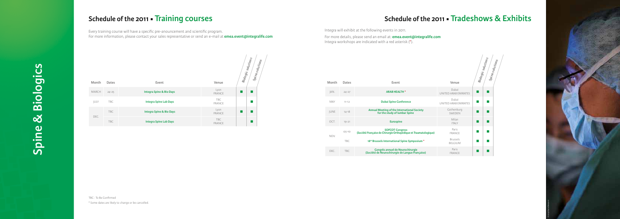Spine & Biologics **Spine & Biologics**

|  | Month       | Dates      | Event.                                                                                     | Venue                                | ä |  |
|--|-------------|------------|--------------------------------------------------------------------------------------------|--------------------------------------|---|--|
|  | JAN.        | $24 - 27$  | <b>ARAB HEALTH*</b>                                                                        | Dubaï<br>UNITED ARAB EMIRATES        |   |  |
|  | MAY         | $11 - 12$  | <b>Dubaï Spine Conference</b>                                                              | Dubaï<br><b>UNITED ARAB EMIRATES</b> |   |  |
|  | <b>JUNE</b> | $14 - 18$  | <b>Annual Meeting of the International Society</b><br>for the study of lumbar Spine        | Gothenburg<br><b>SWFDFN</b>          | ٠ |  |
|  | OCT.        | $19 - 21$  | <b>Eurospine</b>                                                                           | Milan<br><b>ITAIY</b>                |   |  |
|  | NOV.        | $O5 - 1O$  | <b>SOFCOT Congress</b><br>(Société Française de Chirurgie Orthopédique et Traumatologique) | Paris<br><b>FRANCE</b>               |   |  |
|  |             | TBC.       | 18th Brussels International Spine Symposium *                                              | <b>Brussels</b><br><b>BELGIUM</b>    |   |  |
|  | DFC.        | <b>TBC</b> | Congrès annuel de Neurochirurgie<br>(Société de Neurochirurgie de Langue Française)        | Paris<br><b>FRANCE</b>               |   |  |
|  |             |            |                                                                                            |                                      |   |  |

| Month        | Dates      | Event                               | Venue                       | Biologic solutions<br>Spine solutions |
|--------------|------------|-------------------------------------|-----------------------------|---------------------------------------|
| <b>MARCH</b> | $24 - 25$  | <b>Integra Spine &amp; Bio Days</b> | Lyon<br><b>FRANCE</b>       | ш                                     |
| <b>JULY</b>  | <b>TBC</b> | <b>Integra Spine Lab Days</b>       | <b>TBC</b><br><b>FRANCE</b> |                                       |
| DEC.         | <b>TBC</b> | <b>Integra Spine &amp; Bio Days</b> | Lyon<br><b>FRANCE</b>       | ш                                     |
|              | <b>TBC</b> | <b>Integra Spine Lab Days</b>       | <b>TBC</b><br><b>FRANCE</b> |                                       |

Integra will exhibit at the following events in 2011.



For more details, please send an email at: **emea.event@integralife.com** Integra workshops are indicated with a red asterisk (\*).

### **Schedule of the 2011 • Training courses Schedule of the 2011 • Tradeshows & Exhibits**

Every training course will have a specific pre-anouncement and scientific program. For more information, please contact your sales representative or send an e-mail at **emea.event@integralife.com**



TBC : To Be Confirmed \* Some dates are likely to change or be cancelled.